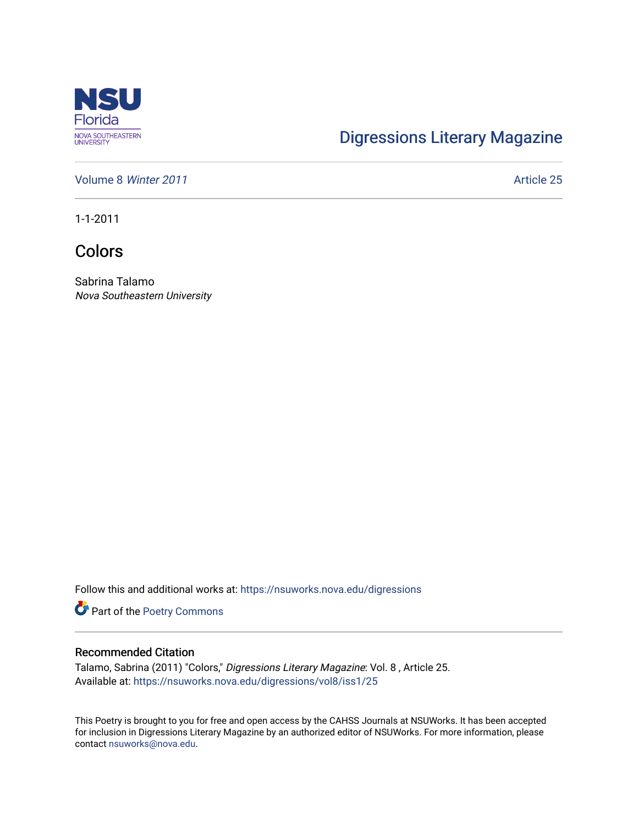

## [Digressions Literary Magazine](https://nsuworks.nova.edu/digressions)

[Volume 8](https://nsuworks.nova.edu/digressions/vol8) Winter 2011 **Article 25** Article 25

1-1-2011

Colors

Sabrina Talamo Nova Southeastern University

Follow this and additional works at: [https://nsuworks.nova.edu/digressions](https://nsuworks.nova.edu/digressions?utm_source=nsuworks.nova.edu%2Fdigressions%2Fvol8%2Fiss1%2F25&utm_medium=PDF&utm_campaign=PDFCoverPages) 

Part of the [Poetry Commons](http://network.bepress.com/hgg/discipline/1153?utm_source=nsuworks.nova.edu%2Fdigressions%2Fvol8%2Fiss1%2F25&utm_medium=PDF&utm_campaign=PDFCoverPages) 

## Recommended Citation

Talamo, Sabrina (2011) "Colors," Digressions Literary Magazine: Vol. 8 , Article 25. Available at: [https://nsuworks.nova.edu/digressions/vol8/iss1/25](https://nsuworks.nova.edu/digressions/vol8/iss1/25?utm_source=nsuworks.nova.edu%2Fdigressions%2Fvol8%2Fiss1%2F25&utm_medium=PDF&utm_campaign=PDFCoverPages) 

This Poetry is brought to you for free and open access by the CAHSS Journals at NSUWorks. It has been accepted for inclusion in Digressions Literary Magazine by an authorized editor of NSUWorks. For more information, please contact [nsuworks@nova.edu.](mailto:nsuworks@nova.edu)